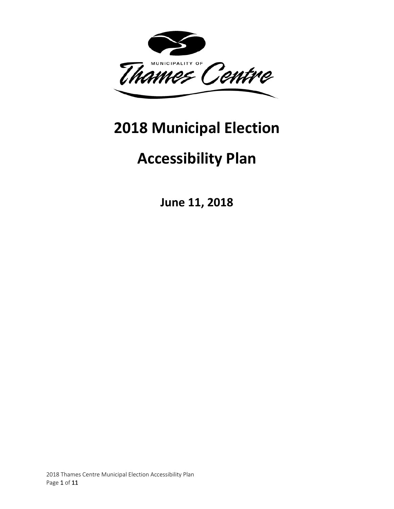

# **2018 Municipal Election**

# **Accessibility Plan**

**June 11, 2018**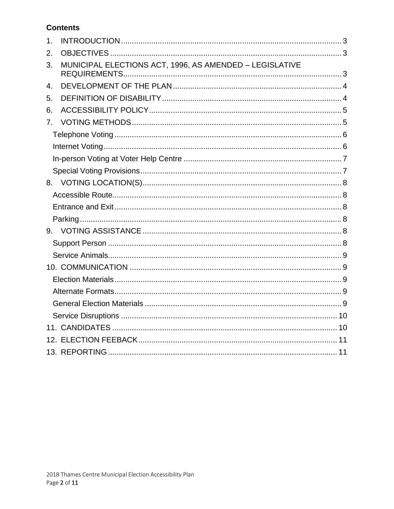# **Contents**

| 1 <sub>1</sub> |                                                         |  |
|----------------|---------------------------------------------------------|--|
| 2.             |                                                         |  |
| 3.             | MUNICIPAL ELECTIONS ACT, 1996, AS AMENDED - LEGISLATIVE |  |
| 4.             |                                                         |  |
| 5.             |                                                         |  |
| 6.             |                                                         |  |
| 7 <sub>1</sub> |                                                         |  |
|                |                                                         |  |
|                |                                                         |  |
|                |                                                         |  |
|                |                                                         |  |
|                |                                                         |  |
|                |                                                         |  |
|                |                                                         |  |
|                |                                                         |  |
|                |                                                         |  |
|                |                                                         |  |
|                |                                                         |  |
|                |                                                         |  |
|                |                                                         |  |
|                |                                                         |  |
|                |                                                         |  |
|                |                                                         |  |
|                |                                                         |  |
|                |                                                         |  |
|                |                                                         |  |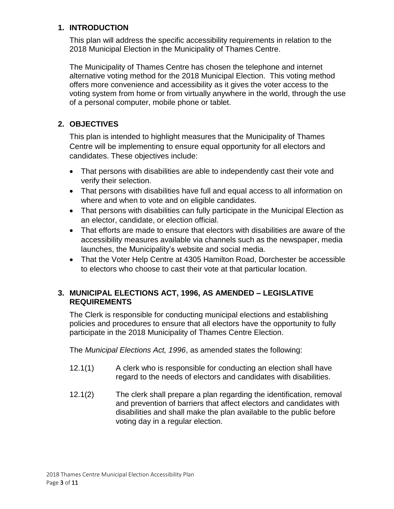## <span id="page-2-0"></span>**1. INTRODUCTION**

This plan will address the specific accessibility requirements in relation to the 2018 Municipal Election in the Municipality of Thames Centre.

The Municipality of Thames Centre has chosen the telephone and internet alternative voting method for the 2018 Municipal Election. This voting method offers more convenience and accessibility as it gives the voter access to the voting system from home or from virtually anywhere in the world, through the use of a personal computer, mobile phone or tablet.

# <span id="page-2-1"></span>**2. OBJECTIVES**

This plan is intended to highlight measures that the Municipality of Thames Centre will be implementing to ensure equal opportunity for all electors and candidates. These objectives include:

- That persons with disabilities are able to independently cast their vote and verify their selection.
- That persons with disabilities have full and equal access to all information on where and when to vote and on eligible candidates.
- That persons with disabilities can fully participate in the Municipal Election as an elector, candidate, or election official.
- That efforts are made to ensure that electors with disabilities are aware of the accessibility measures available via channels such as the newspaper, media launches, the Municipality's website and social media.
- That the Voter Help Centre at 4305 Hamilton Road, Dorchester be accessible to electors who choose to cast their vote at that particular location.

## <span id="page-2-2"></span>**3. MUNICIPAL ELECTIONS ACT, 1996, AS AMENDED – LEGISLATIVE REQUIREMENTS**

The Clerk is responsible for conducting municipal elections and establishing policies and procedures to ensure that all electors have the opportunity to fully participate in the 2018 Municipality of Thames Centre Election.

The *Municipal Elections Act, 1996*, as amended states the following:

- 12.1(1) A clerk who is responsible for conducting an election shall have regard to the needs of electors and candidates with disabilities.
- 12.1(2) The clerk shall prepare a plan regarding the identification, removal and prevention of barriers that affect electors and candidates with disabilities and shall make the plan available to the public before voting day in a regular election.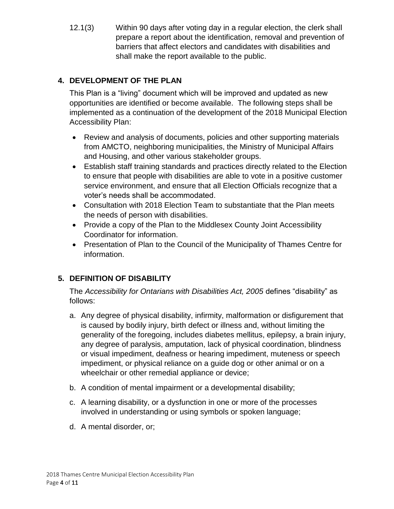12.1(3) Within 90 days after voting day in a regular election, the clerk shall prepare a report about the identification, removal and prevention of barriers that affect electors and candidates with disabilities and shall make the report available to the public.

# <span id="page-3-0"></span>**4. DEVELOPMENT OF THE PLAN**

This Plan is a "living" document which will be improved and updated as new opportunities are identified or become available. The following steps shall be implemented as a continuation of the development of the 2018 Municipal Election Accessibility Plan:

- Review and analysis of documents, policies and other supporting materials from AMCTO, neighboring municipalities, the Ministry of Municipal Affairs and Housing, and other various stakeholder groups.
- Establish staff training standards and practices directly related to the Election to ensure that people with disabilities are able to vote in a positive customer service environment, and ensure that all Election Officials recognize that a voter's needs shall be accommodated.
- Consultation with 2018 Election Team to substantiate that the Plan meets the needs of person with disabilities.
- Provide a copy of the Plan to the Middlesex County Joint Accessibility Coordinator for information.
- Presentation of Plan to the Council of the Municipality of Thames Centre for information.

# <span id="page-3-1"></span>**5. DEFINITION OF DISABILITY**

The *Accessibility for Ontarians with Disabilities Act, 2005* defines "disability" as follows:

- a. Any degree of physical disability, infirmity, malformation or disfigurement that is caused by bodily injury, birth defect or illness and, without limiting the generality of the foregoing, includes diabetes mellitus, epilepsy, a brain injury, any degree of paralysis, amputation, lack of physical coordination, blindness or visual impediment, deafness or hearing impediment, muteness or speech impediment, or physical reliance on a guide dog or other animal or on a wheelchair or other remedial appliance or device;
- b. A condition of mental impairment or a developmental disability;
- c. A learning disability, or a dysfunction in one or more of the processes involved in understanding or using symbols or spoken language;
- d. A mental disorder, or;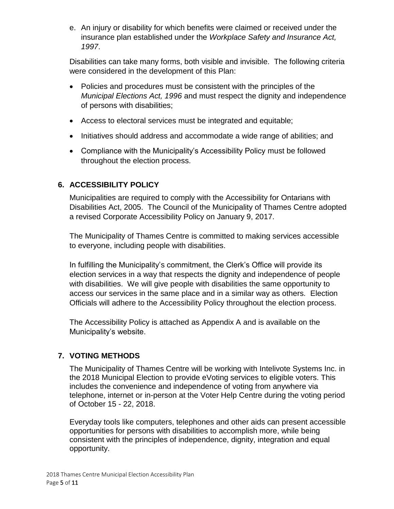e. An injury or disability for which benefits were claimed or received under the insurance plan established under the *Workplace Safety and Insurance Act, 1997*.

Disabilities can take many forms, both visible and invisible. The following criteria were considered in the development of this Plan:

- Policies and procedures must be consistent with the principles of the *Municipal Elections Act, 1996* and must respect the dignity and independence of persons with disabilities;
- Access to electoral services must be integrated and equitable;
- Initiatives should address and accommodate a wide range of abilities; and
- Compliance with the Municipality's Accessibility Policy must be followed throughout the election process.

# <span id="page-4-0"></span>**6. ACCESSIBILITY POLICY**

Municipalities are required to comply with the Accessibility for Ontarians with Disabilities Act, 2005. The Council of the Municipality of Thames Centre adopted a revised Corporate Accessibility Policy on January 9, 2017.

The Municipality of Thames Centre is committed to making services accessible to everyone, including people with disabilities.

In fulfilling the Municipality's commitment, the Clerk's Office will provide its election services in a way that respects the dignity and independence of people with disabilities. We will give people with disabilities the same opportunity to access our services in the same place and in a similar way as others. Election Officials will adhere to the Accessibility Policy throughout the election process.

The Accessibility Policy is attached as Appendix A and is available on the Municipality's website.

# <span id="page-4-1"></span>**7. VOTING METHODS**

The Municipality of Thames Centre will be working with Intelivote Systems Inc. in the 2018 Municipal Election to provide eVoting services to eligible voters. This includes the convenience and independence of voting from anywhere via telephone, internet or in-person at the Voter Help Centre during the voting period of October 15 - 22, 2018.

Everyday tools like computers, telephones and other aids can present accessible opportunities for persons with disabilities to accomplish more, while being consistent with the principles of independence, dignity, integration and equal opportunity.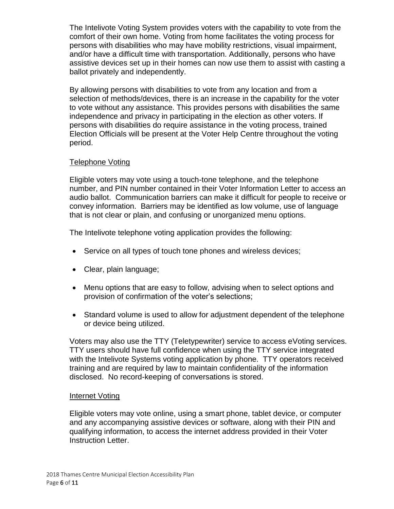The Intelivote Voting System provides voters with the capability to vote from the comfort of their own home. Voting from home facilitates the voting process for persons with disabilities who may have mobility restrictions, visual impairment, and/or have a difficult time with transportation. Additionally, persons who have assistive devices set up in their homes can now use them to assist with casting a ballot privately and independently.

By allowing persons with disabilities to vote from any location and from a selection of methods/devices, there is an increase in the capability for the voter to vote without any assistance. This provides persons with disabilities the same independence and privacy in participating in the election as other voters. If persons with disabilities do require assistance in the voting process, trained Election Officials will be present at the Voter Help Centre throughout the voting period.

## <span id="page-5-0"></span>Telephone Voting

Eligible voters may vote using a touch-tone telephone, and the telephone number, and PIN number contained in their Voter Information Letter to access an audio ballot. Communication barriers can make it difficult for people to receive or convey information. Barriers may be identified as low volume, use of language that is not clear or plain, and confusing or unorganized menu options.

The Intelivote telephone voting application provides the following:

- Service on all types of touch tone phones and wireless devices;
- Clear, plain language;
- Menu options that are easy to follow, advising when to select options and provision of confirmation of the voter's selections;
- Standard volume is used to allow for adjustment dependent of the telephone or device being utilized.

Voters may also use the TTY (Teletypewriter) service to access eVoting services. TTY users should have full confidence when using the TTY service integrated with the Intelivote Systems voting application by phone. TTY operators received training and are required by law to maintain confidentiality of the information disclosed. No record-keeping of conversations is stored.

#### <span id="page-5-1"></span>Internet Voting

Eligible voters may vote online, using a smart phone, tablet device, or computer and any accompanying assistive devices or software, along with their PIN and qualifying information, to access the internet address provided in their Voter Instruction Letter.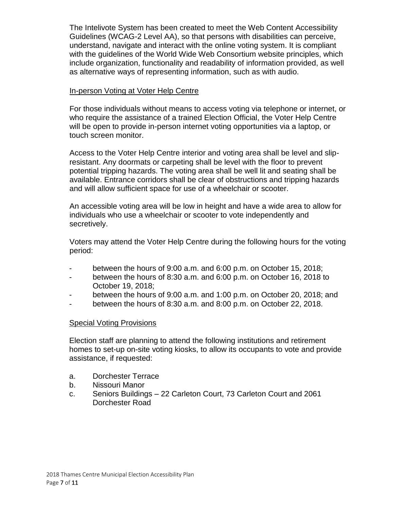The Intelivote System has been created to meet the Web Content Accessibility Guidelines (WCAG-2 Level AA), so that persons with disabilities can perceive, understand, navigate and interact with the online voting system. It is compliant with the guidelines of the World Wide Web Consortium website principles, which include organization, functionality and readability of information provided, as well as alternative ways of representing information, such as with audio.

#### <span id="page-6-0"></span>In-person Voting at Voter Help Centre

For those individuals without means to access voting via telephone or internet, or who require the assistance of a trained Election Official, the Voter Help Centre will be open to provide in-person internet voting opportunities via a laptop, or touch screen monitor.

Access to the Voter Help Centre interior and voting area shall be level and slipresistant. Any doormats or carpeting shall be level with the floor to prevent potential tripping hazards. The voting area shall be well lit and seating shall be available. Entrance corridors shall be clear of obstructions and tripping hazards and will allow sufficient space for use of a wheelchair or scooter.

An accessible voting area will be low in height and have a wide area to allow for individuals who use a wheelchair or scooter to vote independently and secretively.

Voters may attend the Voter Help Centre during the following hours for the voting period:

- between the hours of 9:00 a.m. and 6:00 p.m. on October 15, 2018;
- between the hours of 8:30 a.m. and 6:00 p.m. on October 16, 2018 to October 19, 2018;
- between the hours of 9:00 a.m. and 1:00 p.m. on October 20, 2018; and
- between the hours of 8:30 a.m. and 8:00 p.m. on October 22, 2018.

## <span id="page-6-1"></span>Special Voting Provisions

Election staff are planning to attend the following institutions and retirement homes to set-up on-site voting kiosks, to allow its occupants to vote and provide assistance, if requested:

- a. Dorchester Terrace
- b. Nissouri Manor
- c. Seniors Buildings 22 Carleton Court, 73 Carleton Court and 2061 Dorchester Road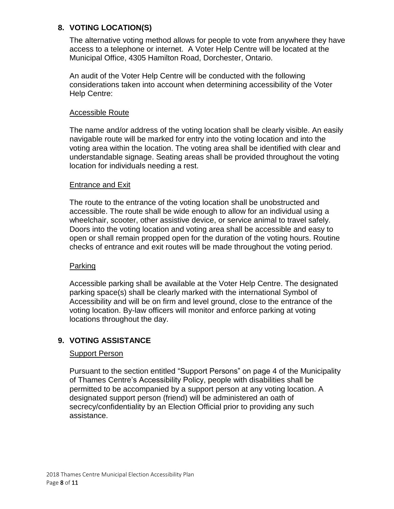## <span id="page-7-0"></span>**8. VOTING LOCATION(S)**

The alternative voting method allows for people to vote from anywhere they have access to a telephone or internet. A Voter Help Centre will be located at the Municipal Office, 4305 Hamilton Road, Dorchester, Ontario.

An audit of the Voter Help Centre will be conducted with the following considerations taken into account when determining accessibility of the Voter Help Centre:

#### <span id="page-7-1"></span>Accessible Route

The name and/or address of the voting location shall be clearly visible. An easily navigable route will be marked for entry into the voting location and into the voting area within the location. The voting area shall be identified with clear and understandable signage. Seating areas shall be provided throughout the voting location for individuals needing a rest.

#### <span id="page-7-2"></span>Entrance and Exit

The route to the entrance of the voting location shall be unobstructed and accessible. The route shall be wide enough to allow for an individual using a wheelchair, scooter, other assistive device, or service animal to travel safely. Doors into the voting location and voting area shall be accessible and easy to open or shall remain propped open for the duration of the voting hours. Routine checks of entrance and exit routes will be made throughout the voting period.

#### <span id="page-7-3"></span>Parking

Accessible parking shall be available at the Voter Help Centre. The designated parking space(s) shall be clearly marked with the international Symbol of Accessibility and will be on firm and level ground, close to the entrance of the voting location. By-law officers will monitor and enforce parking at voting locations throughout the day.

#### <span id="page-7-5"></span><span id="page-7-4"></span>**9. VOTING ASSISTANCE**

#### Support Person

Pursuant to the section entitled "Support Persons" on page 4 of the Municipality of Thames Centre's Accessibility Policy, people with disabilities shall be permitted to be accompanied by a support person at any voting location. A designated support person (friend) will be administered an oath of secrecy/confidentiality by an Election Official prior to providing any such assistance.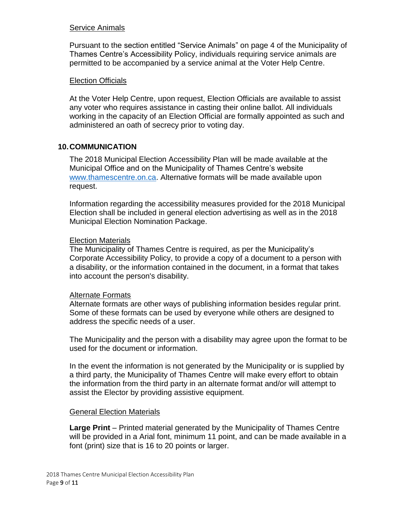#### <span id="page-8-0"></span>Service Animals

Pursuant to the section entitled "Service Animals" on page 4 of the Municipality of Thames Centre's Accessibility Policy, individuals requiring service animals are permitted to be accompanied by a service animal at the Voter Help Centre.

#### Election Officials

At the Voter Help Centre, upon request, Election Officials are available to assist any voter who requires assistance in casting their online ballot. All individuals working in the capacity of an Election Official are formally appointed as such and administered an oath of secrecy prior to voting day.

#### <span id="page-8-1"></span>**10.COMMUNICATION**

The 2018 Municipal Election Accessibility Plan will be made available at the Municipal Office and on the Municipality of Thames Centre's website [www.thamescentre.on.ca.](http://www.thamescentre.on.ca/) Alternative formats will be made available upon request.

Information regarding the accessibility measures provided for the 2018 Municipal Election shall be included in general election advertising as well as in the 2018 Municipal Election Nomination Package.

#### <span id="page-8-2"></span>Election Materials

The Municipality of Thames Centre is required, as per the Municipality's Corporate Accessibility Policy, to provide a copy of a document to a person with a disability, or the information contained in the document, in a format that takes into account the person's disability.

#### <span id="page-8-3"></span>Alternate Formats

Alternate formats are other ways of publishing information besides regular print. Some of these formats can be used by everyone while others are designed to address the specific needs of a user.

The Municipality and the person with a disability may agree upon the format to be used for the document or information.

In the event the information is not generated by the Municipality or is supplied by a third party, the Municipality of Thames Centre will make every effort to obtain the information from the third party in an alternate format and/or will attempt to assist the Elector by providing assistive equipment.

#### <span id="page-8-4"></span>General Election Materials

**Large Print** – Printed material generated by the Municipality of Thames Centre will be provided in a Arial font, minimum 11 point, and can be made available in a font (print) size that is 16 to 20 points or larger.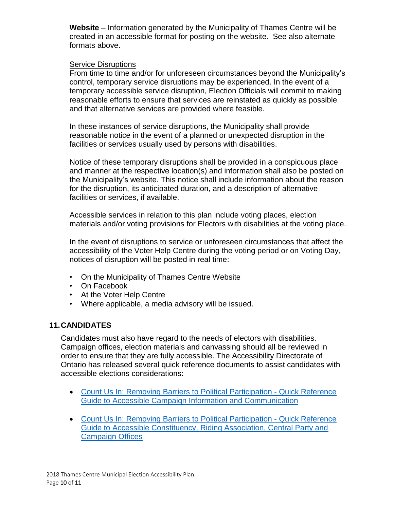**Website** – Information generated by the Municipality of Thames Centre will be created in an accessible format for posting on the website. See also alternate formats above.

#### <span id="page-9-0"></span>Service Disruptions

From time to time and/or for unforeseen circumstances beyond the Municipality's control, temporary service disruptions may be experienced. In the event of a temporary accessible service disruption, Election Officials will commit to making reasonable efforts to ensure that services are reinstated as quickly as possible and that alternative services are provided where feasible.

In these instances of service disruptions, the Municipality shall provide reasonable notice in the event of a planned or unexpected disruption in the facilities or services usually used by persons with disabilities.

Notice of these temporary disruptions shall be provided in a conspicuous place and manner at the respective location(s) and information shall also be posted on the Municipality's website. This notice shall include information about the reason for the disruption, its anticipated duration, and a description of alternative facilities or services, if available.

Accessible services in relation to this plan include voting places, election materials and/or voting provisions for Electors with disabilities at the voting place.

In the event of disruptions to service or unforeseen circumstances that affect the accessibility of the Voter Help Centre during the voting period or on Voting Day, notices of disruption will be posted in real time:

- On the Municipality of Thames Centre Website
- On Facebook
- At the Voter Help Centre
- Where applicable, a media advisory will be issued.

#### <span id="page-9-1"></span>**11.CANDIDATES**

Candidates must also have regard to the needs of electors with disabilities. Campaign offices, election materials and canvassing should all be reviewed in order to ensure that they are fully accessible. The Accessibility Directorate of Ontario has released several quick reference documents to assist candidates with accessible elections considerations:

- [Count Us In: Removing Barriers to Political Participation -](https://www.mcss.gov.on.ca/documents/en/mcss/publications/accessibility/Quickreferenceguidetoaccessiblecampaigninformation.pdf) Quick Reference [Guide to Accessible Campaign Information and Communication](https://www.mcss.gov.on.ca/documents/en/mcss/publications/accessibility/Quickreferenceguidetoaccessiblecampaigninformation.pdf)
- [Count Us In: Removing Barriers to Political Participation -](https://www.mcss.gov.on.ca/en/mcss/programs/accessibility/understanding_accessibility/documents/ACCESSIBLEOFFICES.pdf) Quick Reference [Guide to Accessible Constituency, Riding Association, Central Party and](https://www.mcss.gov.on.ca/en/mcss/programs/accessibility/understanding_accessibility/documents/ACCESSIBLEOFFICES.pdf)  [Campaign Offices](https://www.mcss.gov.on.ca/en/mcss/programs/accessibility/understanding_accessibility/documents/ACCESSIBLEOFFICES.pdf)